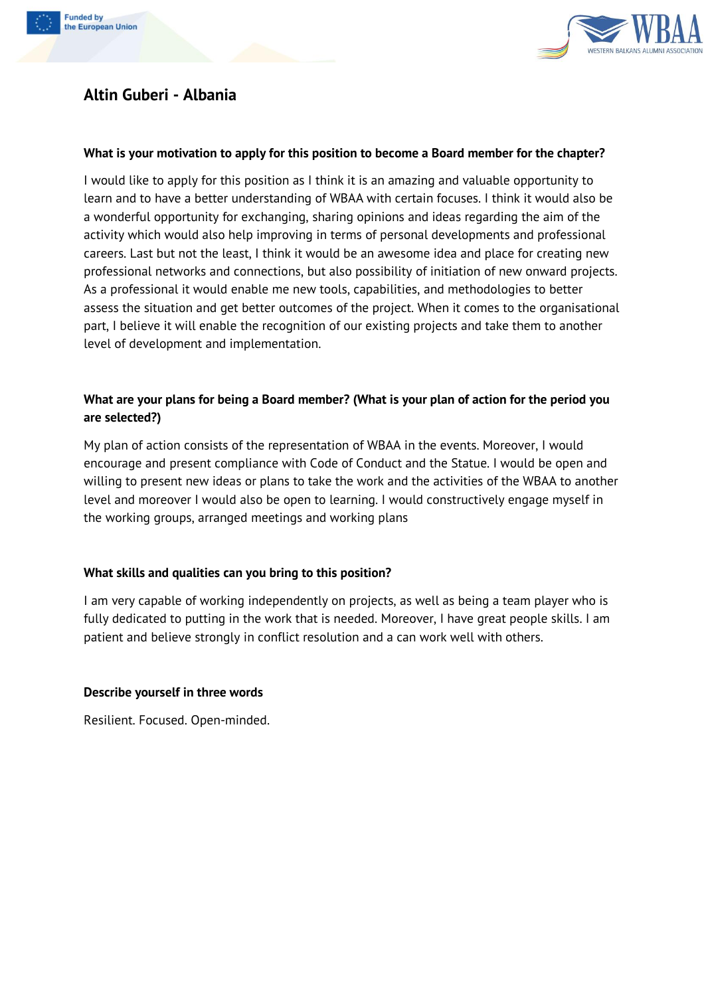



# **Altin Guberi - Albania**

#### **What is your motivation to apply for this position to become a Board member for the chapter?**

I would like to apply for this position as I think it is an amazing and valuable opportunity to learn and to have a better understanding of WBAA with certain focuses. I think it would also be a wonderful opportunity for exchanging, sharing opinions and ideas regarding the aim of the activity which would also help improving in terms of personal developments and professional careers. Last but not the least, I think it would be an awesome idea and place for creating new professional networks and connections, but also possibility of initiation of new onward projects. As a professional it would enable me new tools, capabilities, and methodologies to better assess the situation and get better outcomes of the project. When it comes to the organisational part, I believe it will enable the recognition of our existing projects and take them to another level of development and implementation.

#### What are your plans for being a Board member? (What is your plan of action for the period you **are selected?)**

My plan of action consists of the representation of WBAA in the events. Moreover, I would encourage and present compliance with Code of Conduct and the Statue. I would be open and willing to present new ideas or plans to take the work and the activities of the WBAA to another level and moreover I would also be open to learning. I would constructively engage myself in the working groups, arranged meetings and working plans

### **What skills and qualities can you bring to this position?**

I am very capable of working independently on projects, as well as being a team player who is fully dedicated to putting in the work that is needed. Moreover, I have great people skills. I am patient and believe strongly in conflict resolution and a can work well with others.

#### **Describe yourself in three words**

Resilient. Focused. Open-minded.